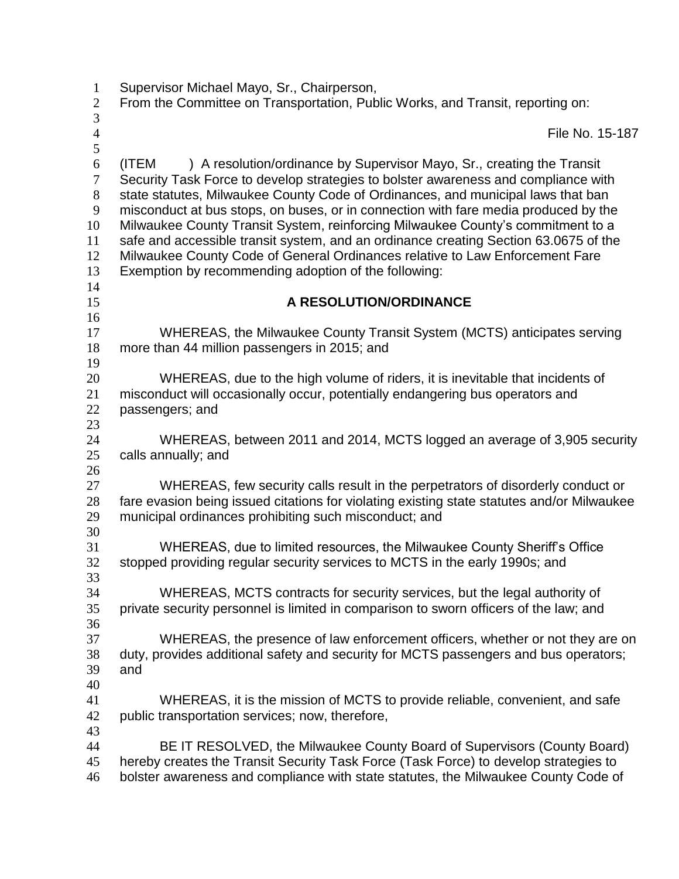| $\mathbf 1$<br>$\overline{2}$ | Supervisor Michael Mayo, Sr., Chairperson,<br>From the Committee on Transportation, Public Works, and Transit, reporting on:                                                                                                                                                                                    |
|-------------------------------|-----------------------------------------------------------------------------------------------------------------------------------------------------------------------------------------------------------------------------------------------------------------------------------------------------------------|
| $\mathfrak{Z}$                |                                                                                                                                                                                                                                                                                                                 |
| $\overline{4}$<br>5           | File No. 15-187                                                                                                                                                                                                                                                                                                 |
| $\boldsymbol{6}$<br>$\tau$    | ) A resolution/ordinance by Supervisor Mayo, Sr., creating the Transit<br>(ITEM<br>Security Task Force to develop strategies to bolster awareness and compliance with                                                                                                                                           |
| $8\,$<br>$\boldsymbol{9}$     | state statutes, Milwaukee County Code of Ordinances, and municipal laws that ban<br>misconduct at bus stops, on buses, or in connection with fare media produced by the                                                                                                                                         |
| 10<br>11<br>12<br>13          | Milwaukee County Transit System, reinforcing Milwaukee County's commitment to a<br>safe and accessible transit system, and an ordinance creating Section 63.0675 of the<br>Milwaukee County Code of General Ordinances relative to Law Enforcement Fare<br>Exemption by recommending adoption of the following: |
| 14<br>15                      | A RESOLUTION/ORDINANCE                                                                                                                                                                                                                                                                                          |
| 16<br>17<br>18                | WHEREAS, the Milwaukee County Transit System (MCTS) anticipates serving<br>more than 44 million passengers in 2015; and                                                                                                                                                                                         |
| 19                            |                                                                                                                                                                                                                                                                                                                 |
| 20                            | WHEREAS, due to the high volume of riders, it is inevitable that incidents of                                                                                                                                                                                                                                   |
| 21                            | misconduct will occasionally occur, potentially endangering bus operators and                                                                                                                                                                                                                                   |
| 22                            | passengers; and                                                                                                                                                                                                                                                                                                 |
| 23                            |                                                                                                                                                                                                                                                                                                                 |
| 24<br>25                      | WHEREAS, between 2011 and 2014, MCTS logged an average of 3,905 security<br>calls annually; and                                                                                                                                                                                                                 |
| 26<br>27                      | WHEREAS, few security calls result in the perpetrators of disorderly conduct or                                                                                                                                                                                                                                 |
| 28<br>29                      | fare evasion being issued citations for violating existing state statutes and/or Milwaukee<br>municipal ordinances prohibiting such misconduct; and                                                                                                                                                             |
| 30                            |                                                                                                                                                                                                                                                                                                                 |
| 31<br>32                      | WHEREAS, due to limited resources, the Milwaukee County Sheriff's Office<br>stopped providing regular security services to MCTS in the early 1990s; and                                                                                                                                                         |
| 33<br>34<br>35                | WHEREAS, MCTS contracts for security services, but the legal authority of<br>private security personnel is limited in comparison to sworn officers of the law; and                                                                                                                                              |
| 36<br>37                      | WHEREAS, the presence of law enforcement officers, whether or not they are on                                                                                                                                                                                                                                   |
| 38<br>39                      | duty, provides additional safety and security for MCTS passengers and bus operators;<br>and                                                                                                                                                                                                                     |
| 40                            |                                                                                                                                                                                                                                                                                                                 |
| 41<br>42                      | WHEREAS, it is the mission of MCTS to provide reliable, convenient, and safe<br>public transportation services; now, therefore,                                                                                                                                                                                 |
| 43                            |                                                                                                                                                                                                                                                                                                                 |
| 44                            | BE IT RESOLVED, the Milwaukee County Board of Supervisors (County Board)                                                                                                                                                                                                                                        |
| 45                            | hereby creates the Transit Security Task Force (Task Force) to develop strategies to                                                                                                                                                                                                                            |
| 46                            | bolster awareness and compliance with state statutes, the Milwaukee County Code of                                                                                                                                                                                                                              |